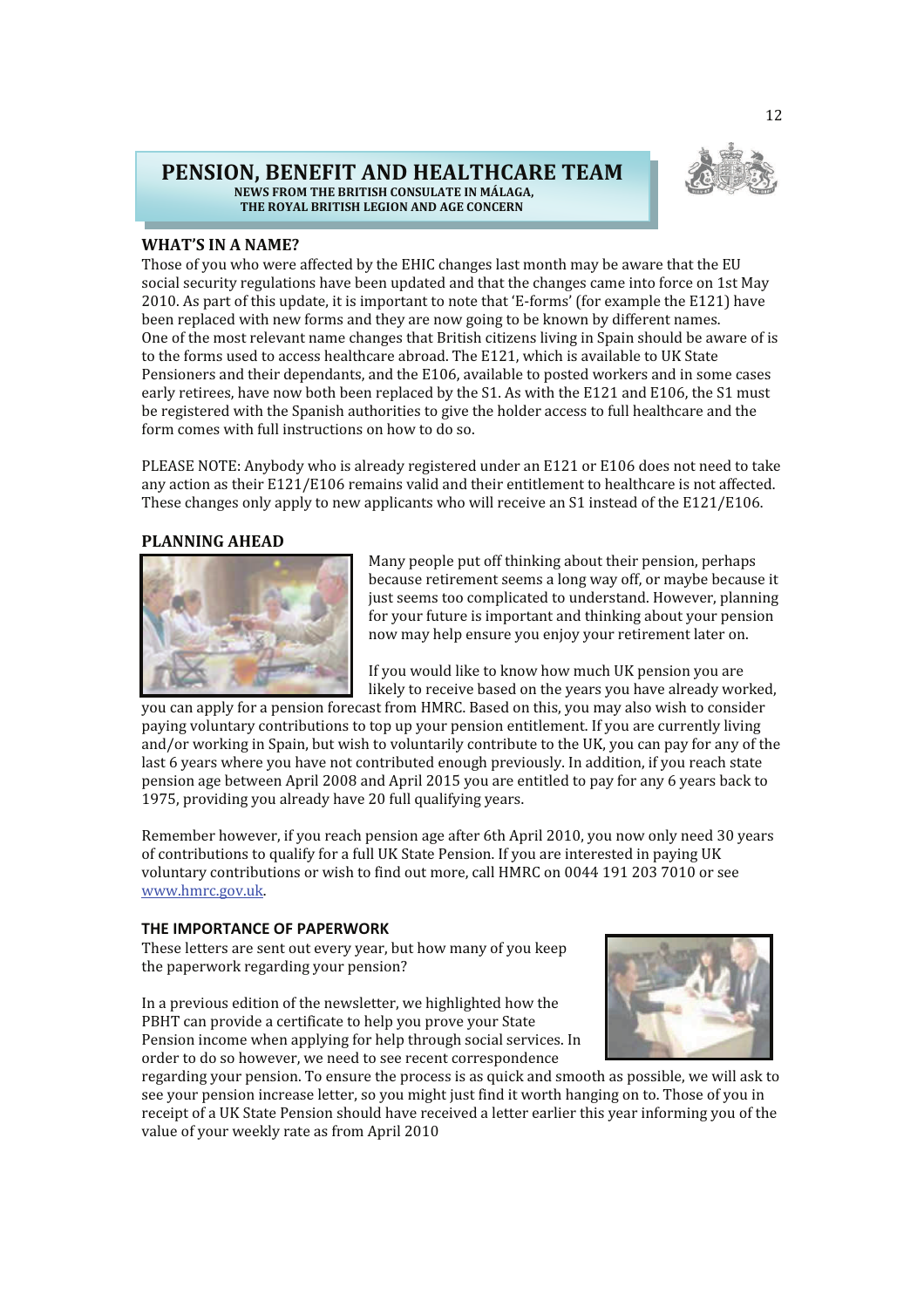## **PENSION, BENEFIT AND HEALTHCARE TEAM NEWS FROM THE BRITISH CONSULATE IN MÁLAGA, THE ROYAL BRITISH LEGION AND AGE CONCERN**



# **WHAT'S IN A NAME?**

Those of you who were affected by the EHIC changes last month may be aware that the EU social security regulations have been updated and that the changes came into force on 1st May 2010. As part of this update, it is important to note that 'E-forms' (for example the E121) have been replaced with new forms and they are now going to be known by different names. One of the most relevant name changes that British citizens living in Spain should be aware of is to the forms used to access healthcare abroad. The E121, which is available to UK State Pensioners and their dependants, and the E106, available to posted workers and in some cases early retirees, have now both been replaced by the S1. As with the E121 and E106, the S1 must be registered with the Spanish authorities to give the holder access to full healthcare and the form comes with full instructions on how to do so.

PLEASE NOTE: Anybody who is already registered under an E121 or E106 does not need to take any action as their E121/E106 remains valid and their entitlement to healthcare is not affected. These changes only apply to new applicants who will receive an S1 instead of the E121/E106.

### **PLANNING AHEAD**



Many people put off thinking about their pension, perhaps because retirement seems a long way off, or maybe because it just seems too complicated to understand. However, planning for your future is important and thinking about your pension now may help ensure you enjoy your retirement later on.

If you would like to know how much UK pension you are likely to receive based on the years you have already worked,

you can apply for a pension forecast from HMRC. Based on this, you may also wish to consider paying voluntary contributions to top up your pension entitlement. If you are currently living and/or working in Spain, but wish to voluntarily contribute to the UK, you can pay for any of the last 6 years where you have not contributed enough previously. In addition, if you reach state pension age between April 2008 and April 2015 you are entitled to pay for any 6 years back to 1975, providing you already have 20 full qualifying years.

Remember however, if you reach pension age after 6th April 2010, you now only need 30 years of contributions to qualify for a full UK State Pension. If you are interested in paying UK voluntary contributions or wish to find out more, call HMRC on 0044 191 203 7010 or see www.hmrc.gov.uk.

## **THE IMPORTANCE OF PAPERWORK**

These letters are sent out every year, but how many of you keep the paperwork regarding your pension?

In a previous edition of the newsletter, we highlighted how the PBHT can provide a certificate to help you prove your State Pension income when applying for help through social services. In order to do so however, we need to see recent correspondence



regarding your pension. To ensure the process is as quick and smooth as possible, we will ask to see your pension increase letter, so you might just find it worth hanging on to. Those of you in receipt of a UK State Pension should have received a letter earlier this year informing you of the value of your weekly rate as from April 2010